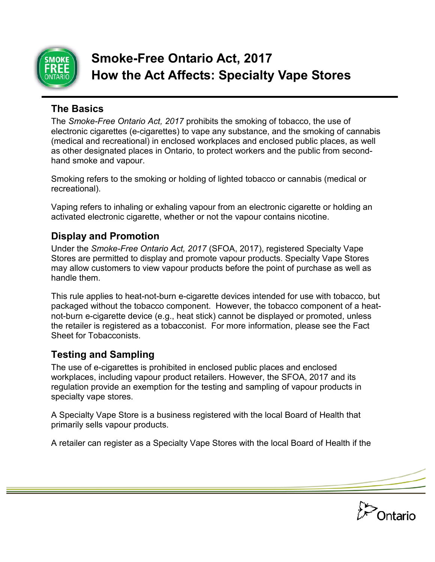

# **Smoke-Free Ontario Act, 2017 How the Act Affects: Specialty Vape Stores**

#### **The Basics**

The *Smoke-Free Ontario Act, 2017* prohibits the smoking of tobacco, the use of electronic cigarettes (e-cigarettes) to vape any substance, and the smoking of cannabis (medical and recreational) in enclosed workplaces and enclosed public places, as well as other designated places in Ontario, to protect workers and the public from secondhand smoke and vapour.

Smoking refers to the smoking or holding of lighted tobacco or cannabis (medical or recreational).

Vaping refers to inhaling or exhaling vapour from an electronic cigarette or holding an activated electronic cigarette, whether or not the vapour contains nicotine.

## **Display and Promotion**

Under the *Smoke-Free Ontario Act, 2017* (SFOA, 2017), registered Specialty Vape Stores are permitted to display and promote vapour products. Specialty Vape Stores may allow customers to view vapour products before the point of purchase as well as handle them.

This rule applies to heat-not-burn e-cigarette devices intended for use with tobacco, but packaged without the tobacco component. However, the tobacco component of a heatnot-burn e-cigarette device (e.g., heat stick) cannot be displayed or promoted, unless the retailer is registered as a tobacconist. For more information, please see the Fact Sheet for Tobacconists.

## **Testing and Sampling**

The use of e-cigarettes is prohibited in enclosed public places and enclosed workplaces, including vapour product retailers. However, the SFOA, 2017 and its regulation provide an exemption for the testing and sampling of vapour products in specialty vape stores.

A Specialty Vape Store is a business registered with the local Board of Health that primarily sells vapour products.

A retailer can register as a Specialty Vape Stores with the local Board of Health if the

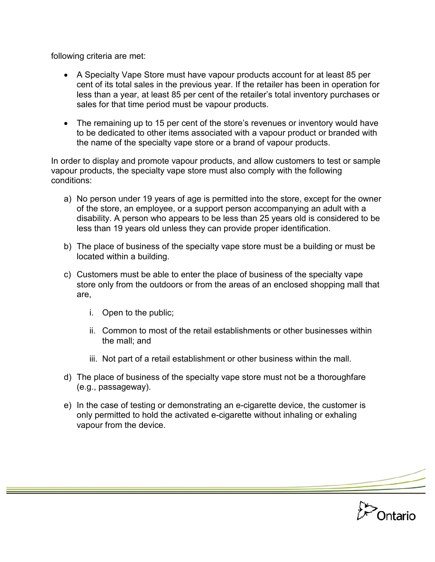following criteria are met:

- A Specialty Vape Store must have vapour products account for at least 85 per cent of its total sales in the previous year. If the retailer has been in operation for less than a year, at least 85 per cent of the retailer's total inventory purchases or sales for that time period must be vapour products.
- The remaining up to 15 per cent of the store's revenues or inventory would have to be dedicated to other items associated with a vapour product or branded with the name of the specialty vape store or a brand of vapour products.

In order to display and promote vapour products, and allow customers to test or sample vapour products, the specialty vape store must also comply with the following conditions:

- a) No person under 19 years of age is permitted into the store, except for the owner of the store, an employee, or a support person accompanying an adult with a disability. A person who appears to be less than 25 years old is considered to be less than 19 years old unless they can provide proper identification.
- b) The place of business of the specialty vape store must be a building or must be located within a building.
- c) Customers must be able to enter the place of business of the specialty vape store only from the outdoors or from the areas of an enclosed shopping mall that are,
	- i. Open to the public;
	- ii. Common to most of the retail establishments or other businesses within the mall; and
	- iii. Not part of a retail establishment or other business within the mall.
- d) The place of business of the specialty vape store must not be a thoroughfare (e.g., passageway).
- e) In the case of testing or demonstrating an e-cigarette device, the customer is only permitted to hold the activated e-cigarette without inhaling or exhaling vapour from the device.

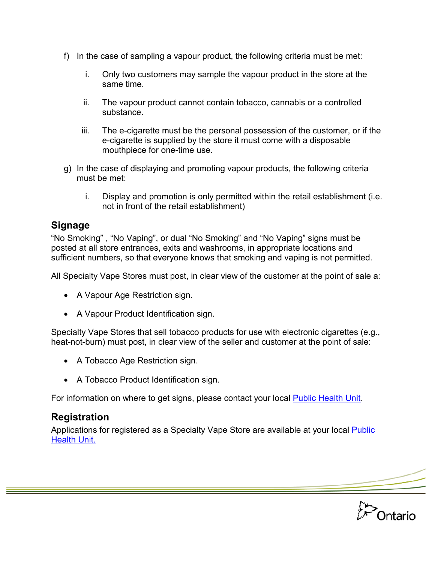- f) In the case of sampling a vapour product, the following criteria must be met:
	- i. Only two customers may sample the vapour product in the store at the same time.
	- ii. The vapour product cannot contain tobacco, cannabis or a controlled substance.
	- iii. The e-cigarette must be the personal possession of the customer, or if the e-cigarette is supplied by the store it must come with a disposable mouthpiece for one-time use.
- g) In the case of displaying and promoting vapour products, the following criteria must be met:
	- i. Display and promotion is only permitted within the retail establishment (i.e. not in front of the retail establishment)

## **Signage**

"No Smoking" , "No Vaping", or dual "No Smoking" and "No Vaping" signs must be posted at all store entrances, exits and washrooms, in appropriate locations and sufficient numbers, so that everyone knows that smoking and vaping is not permitted.

All Specialty Vape Stores must post, in clear view of the customer at the point of sale a:

- A Vapour Age Restriction sign.
- A Vapour Product Identification sign.

Specialty Vape Stores that sell tobacco products for use with electronic cigarettes (e.g., heat-not-burn) must post, in clear view of the seller and customer at the point of sale:

- A Tobacco Age Restriction sign.
- A Tobacco Product Identification sign.

For information on where to get signs, please contact your local [Public Health Unit.](http://www.health.gov.on.ca/en/common/system/services/phu/locations.aspx)

## **Registration**

Applications for registered as a Specialty Vape Store are available at your local [Public](http://www.health.gov.on.ca/en/common/system/services/phu/locations.aspx)  [Health Unit.](http://www.health.gov.on.ca/en/common/system/services/phu/locations.aspx)